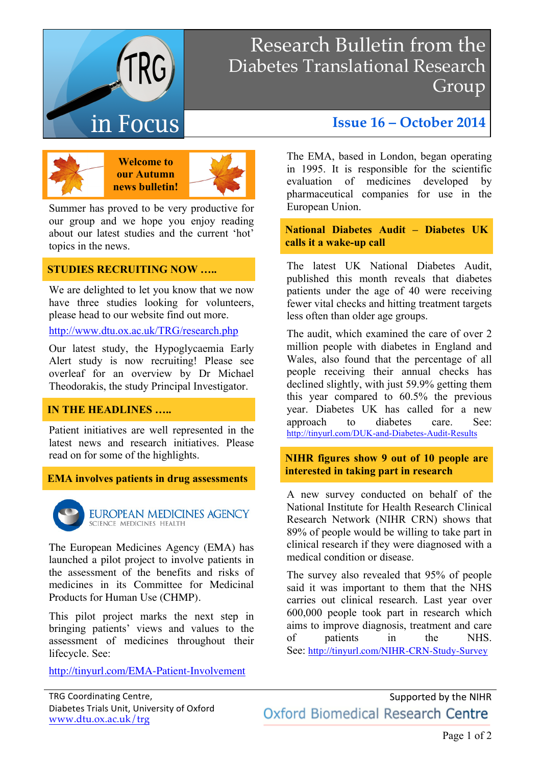

# Research Bulletin from the Diabetes Translational Research Group



**Welcome to our Autumn news bulletin!**



Summer has proved to be very productive for our group and we hope you enjoy reading about our latest studies and the current 'hot' topics in the news.

#### **STUDIES RECRUITING NOW …..**

We are delighted to let you know that we now have three studies looking for volunteers, please head to our website find out more.

http://www.dtu.ox.ac.uk/TRG/research.php

Our latest study, the Hypoglycaemia Early Alert study is now recruiting! Please see overleaf for an overview by Dr Michael Theodorakis, the study Principal Investigator.

#### **IN THE HEADLINES …..**

Patient initiatives are well represented in the latest news and research initiatives. Please read on for some of the highlights.

**EMA involves patients in drug assessments**



**EUROPEAN MEDICINES AGENCY** SCIENCE MEDICINES HEALTH

The European Medicines Agency (EMA) has launched a pilot project to involve patients in the assessment of the benefits and risks of medicines in its Committee for Medicinal Products for Human Use (CHMP).

This pilot project marks the next step in bringing patients' views and values to the assessment of medicines throughout their lifecycle. See:

http://tinyurl.com/EMA-Patient-Involvement

## **Issue 16 – October 2014**

The EMA, based in London, began operating in 1995. It is responsible for the scientific evaluation of medicines developed by pharmaceutical companies for use in the European Union.

**National Diabetes Audit – Diabetes UK calls it a wake-up call** 

The latest UK National Diabetes Audit, published this month reveals that diabetes patients under the age of 40 were receiving fewer vital checks and hitting treatment targets less often than older age groups.

The audit, which examined the care of over 2 million people with diabetes in England and Wales, also found that the percentage of all people receiving their annual checks has declined slightly, with just 59.9% getting them this year compared to 60.5% the previous year. Diabetes UK has called for a new approach to diabetes care. See: http://tinyurl.com/DUK-and-Diabetes-Audit-Results

#### **NIHR figures show 9 out of 10 people are interested in taking part in research**

A new survey conducted on behalf of the National Institute for Health Research Clinical Research Network (NIHR CRN) shows that 89% of people would be willing to take part in clinical research if they were diagnosed with a medical condition or disease.

The survey also revealed that 95% of people said it was important to them that the NHS carries out clinical research. Last year over 600,000 people took part in research which aims to improve diagnosis, treatment and care of patients in the NHS. See: http://tinyurl.com/NIHR-CRN-Study-Survey